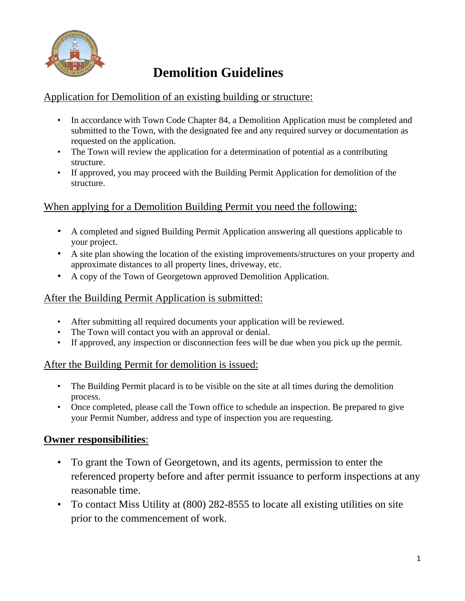

# **Demolition Guidelines**

#### Application for Demolition of an existing building or structure:

- In accordance with Town Code Chapter 84, a Demolition Application must be completed and submitted to the Town, with the designated fee and any required survey or documentation as requested on the application.
- The Town will review the application for a determination of potential as a contributing structure.
- If approved, you may proceed with the Building Permit Application for demolition of the structure.

## When applying for a Demolition Building Permit you need the following:

- A completed and signed Building Permit Application answering all questions applicable to your project.
- A site plan showing the location of the existing improvements/structures on your property and approximate distances to all property lines, driveway, etc.
- A copy of the Town of Georgetown approved Demolition Application.

## After the Building Permit Application is submitted:

- After submitting all required documents your application will be reviewed.
- The Town will contact you with an approval or denial.
- If approved, any inspection or disconnection fees will be due when you pick up the permit.

## After the Building Permit for demolition is issued:

- The Building Permit placard is to be visible on the site at all times during the demolition process.
- Once completed, please call the Town office to schedule an inspection. Be prepared to give your Permit Number, address and type of inspection you are requesting.

## **Owner responsibilities**:

- To grant the Town of Georgetown, and its agents, permission to enter the referenced property before and after permit issuance to perform inspections at any reasonable time.
- To contact Miss Utility at (800) 282-8555 to locate all existing utilities on site prior to the commencement of work.